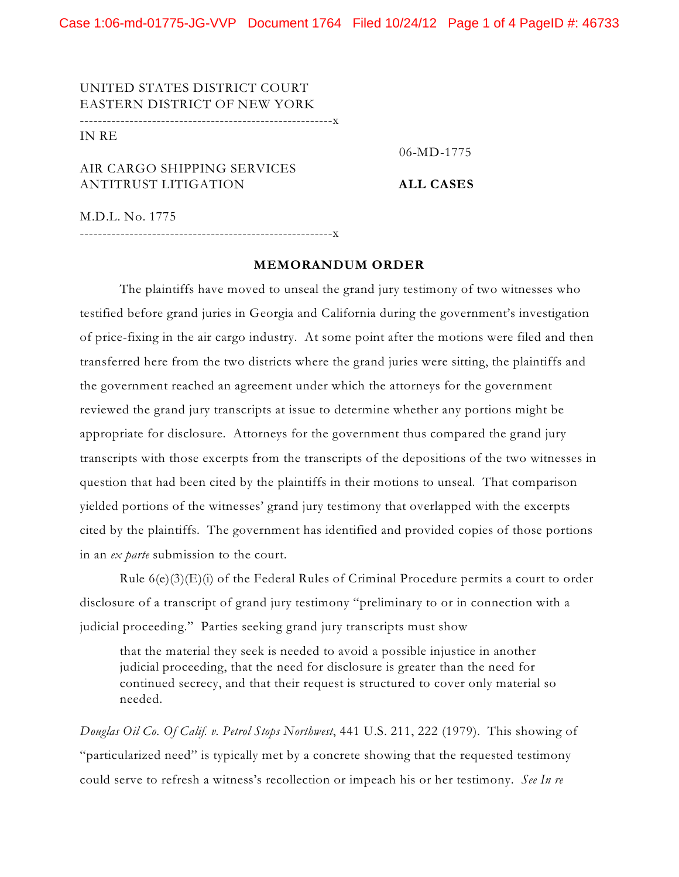Case 1:06-md-01775-JG-VVP Document 1764 Filed 10/24/12 Page 1 of 4 PageID #: 46733

UNITED STATES DISTRICT COURT EASTERN DISTRICT OF NEW YORK --------------------------------------------------------x

IN RE

06-MD-1775

AIR CARGO SHIPPING SERVICES ANTITRUST LITIGATION **ALL CASES**

M.D.L. No. 1775

--------------------------------------------------------x

## **MEMORANDUM ORDER**

The plaintiffs have moved to unseal the grand jury testimony of two witnesses who testified before grand juries in Georgia and California during the government's investigation of price-fixing in the air cargo industry. At some point after the motions were filed and then transferred here from the two districts where the grand juries were sitting, the plaintiffs and the government reached an agreement under which the attorneys for the government reviewed the grand jury transcripts at issue to determine whether any portions might be appropriate for disclosure. Attorneys for the government thus compared the grand jury transcripts with those excerpts from the transcripts of the depositions of the two witnesses in question that had been cited by the plaintiffs in their motions to unseal. That comparison yielded portions of the witnesses' grand jury testimony that overlapped with the excerpts cited by the plaintiffs. The government has identified and provided copies of those portions in an *ex parte* submission to the court.

Rule 6(e)(3)(E)(i) of the Federal Rules of Criminal Procedure permits a court to order disclosure of a transcript of grand jury testimony "preliminary to or in connection with a judicial proceeding." Parties seeking grand jury transcripts must show

that the material they seek is needed to avoid a possible injustice in another judicial proceeding, that the need for disclosure is greater than the need for continued secrecy, and that their request is structured to cover only material so needed.

*Douglas Oil Co. Of Calif. v. Petrol Stops Northwest*, 441 U.S. 211, 222 (1979). This showing of "particularized need" is typically met by a concrete showing that the requested testimony could serve to refresh a witness's recollection or impeach his or her testimony. *See In re*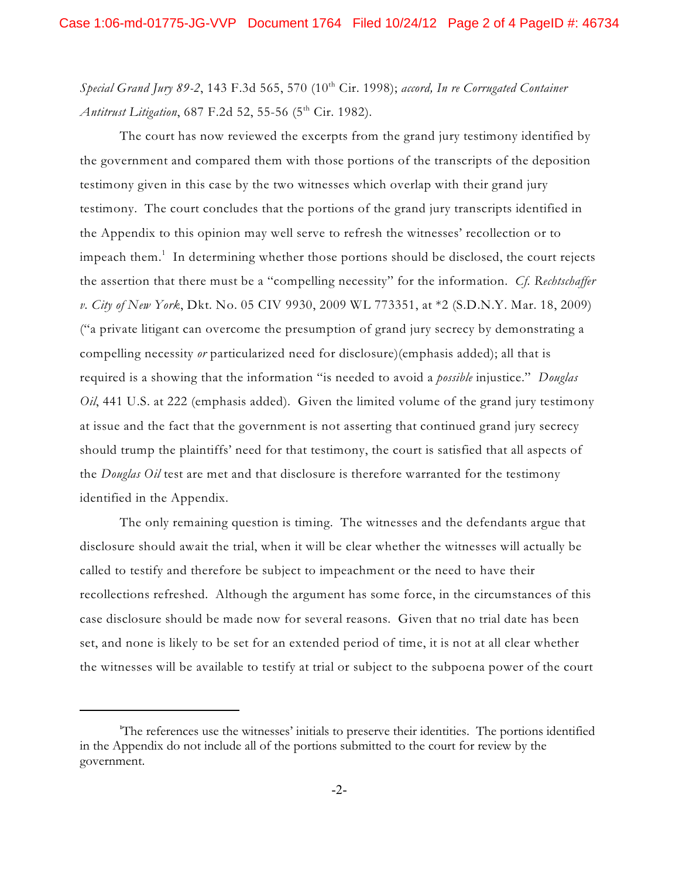*Special Grand Jury 89-2*, 143 F.3d 565, 570 (10 th Cir. 1998); *accord, In re Corrugated Container Antitrust Litigation*, 687 F.2d 52, 55-56 (5 th Cir. 1982).

The court has now reviewed the excerpts from the grand jury testimony identified by the government and compared them with those portions of the transcripts of the deposition testimony given in this case by the two witnesses which overlap with their grand jury testimony. The court concludes that the portions of the grand jury transcripts identified in the Appendix to this opinion may well serve to refresh the witnesses' recollection or to impeach them. $^{\rm 1}$  In determining whether those portions should be disclosed, the court rejects the assertion that there must be a "compelling necessity" for the information. *Cf. Rechtschaffer v. City of New York*, Dkt. No. 05 CIV 9930, 2009 WL 773351, at \*2 (S.D.N.Y. Mar. 18, 2009) ("a private litigant can overcome the presumption of grand jury secrecy by demonstrating a compelling necessity *or* particularized need for disclosure)(emphasis added); all that is required is a showing that the information "is needed to avoid a *possible* injustice." *Douglas Oil*, 441 U.S. at 222 (emphasis added). Given the limited volume of the grand jury testimony at issue and the fact that the government is not asserting that continued grand jury secrecy should trump the plaintiffs' need for that testimony, the court is satisfied that all aspects of the *Douglas Oil* test are met and that disclosure is therefore warranted for the testimony identified in the Appendix.

The only remaining question is timing. The witnesses and the defendants argue that disclosure should await the trial, when it will be clear whether the witnesses will actually be called to testify and therefore be subject to impeachment or the need to have their recollections refreshed. Although the argument has some force, in the circumstances of this case disclosure should be made now for several reasons. Given that no trial date has been set, and none is likely to be set for an extended period of time, it is not at all clear whether the witnesses will be available to testify at trial or subject to the subpoena power of the court

<sup>1</sup>The references use the witnesses' initials to preserve their identities. The portions identified in the Appendix do not include all of the portions submitted to the court for review by the government.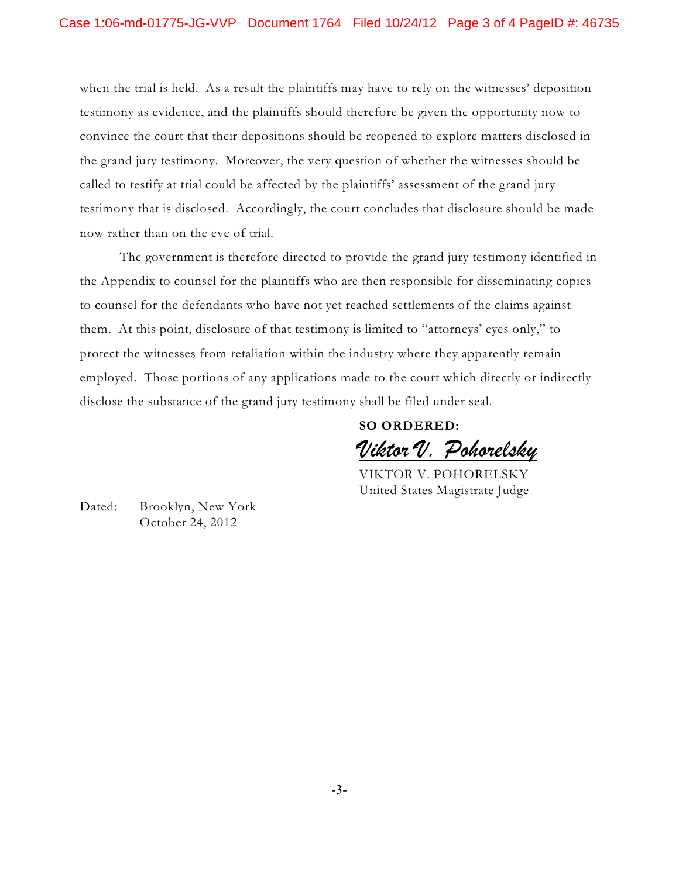when the trial is held. As a result the plaintiffs may have to rely on the witnesses' deposition testimony as evidence, and the plaintiffs should therefore be given the opportunity now to convince the court that their depositions should be reopened to explore matters disclosed in the grand jury testimony. Moreover, the very question of whether the witnesses should be called to testify at trial could be affected by the plaintiffs' assessment of the grand jury testimony that is disclosed. Accordingly, the court concludes that disclosure should be made now rather than on the eve of trial.

The government is therefore directed to provide the grand jury testimony identified in the Appendix to counsel for the plaintiffs who are then responsible for disseminating copies to counsel for the defendants who have not yet reached settlements of the claims against them. At this point, disclosure of that testimony is limited to "attorneys' eyes only," to protect the witnesses from retaliation within the industry where they apparently remain employed. Those portions of any applications made to the court which directly or indirectly disclose the substance of the grand jury testimony shall be filed under seal.

> **SO ORDERED:** *Viktor V. Pohorelsky*

VIKTOR V. POHORELSKY United States Magistrate Judge

Dated: Brooklyn, New York October 24, 2012